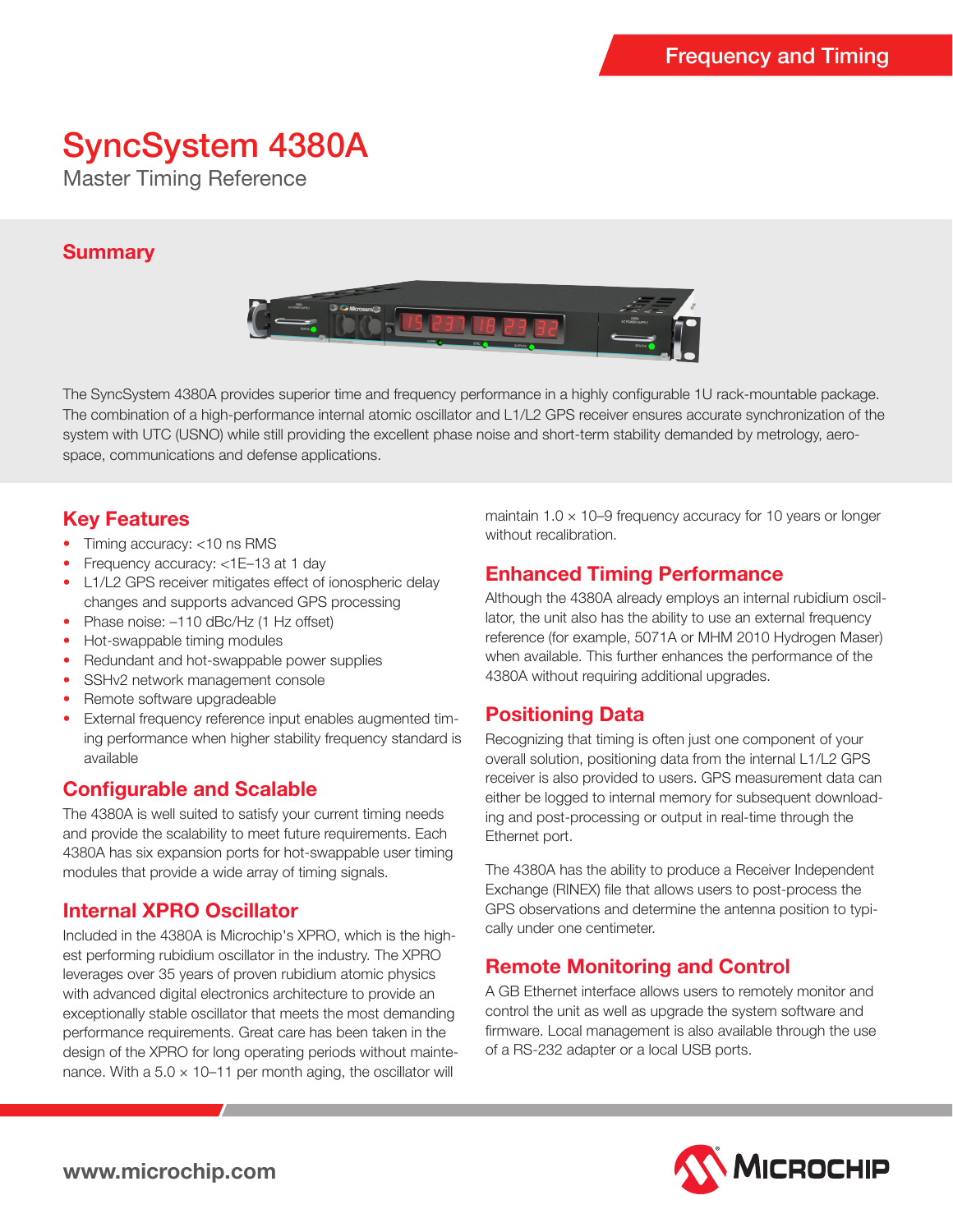# SyncSystem 4380A

Master Timing Reference

#### **Summary**



The SyncSystem 4380A provides superior time and frequency performance in a highly configurable 1U rack-mountable package. The combination of a high-performance internal atomic oscillator and L1/L2 GPS receiver ensures accurate synchronization of the system with UTC (USNO) while still providing the excellent phase noise and short-term stability demanded by metrology, aerospace, communications and defense applications.

## **Key Features**

- Timing accuracy: <10 ns RMS
- Frequency accuracy: <1E-13 at 1 day
- L1/L2 GPS receiver mitigates effect of ionospheric delay changes and supports advanced GPS processing
- Phase noise:  $-110$  dBc/Hz (1 Hz offset)
- Hot-swappable timing modules
- Redundant and hot-swappable power supplies
- SSHv2 network management console
- Remote software upgradeable
- External frequency reference input enables augmented timing performance when higher stability frequency standard is available

### **Configurable and Scalable**

The 4380A is well suited to satisfy your current timing needs and provide the scalability to meet future requirements. Each 4380A has six expansion ports for hot-swappable user timing modules that provide a wide array of timing signals.

### **Internal XPRO Oscillator**

Included in the 4380A is Microchip's XPRO, which is the highest performing rubidium oscillator in the industry. The XPRO leverages over 35 years of proven rubidium atomic physics with advanced digital electronics architecture to provide an exceptionally stable oscillator that meets the most demanding performance requirements. Great care has been taken in the design of the XPRO for long operating periods without maintenance. With a  $5.0 \times 10-11$  per month aging, the oscillator will

maintain  $1.0 \times 10 - 9$  frequency accuracy for 10 years or longer without recalibration.

### **Enhanced Timing Performance**

Although the 4380A already employs an internal rubidium oscillator, the unit also has the ability to use an external frequency reference (for example, 5071A or MHM 2010 Hydrogen Maser) when available. This further enhances the performance of the 4380A without requiring additional upgrades.

### **Positioning Data**

Recognizing that timing is often just one component of your overall solution, positioning data from the internal L1/L2 GPS receiver is also provided to users. GPS measurement data can either be logged to internal memory for subsequent downloading and post-processing or output in real-time through the Ethernet port.

The 4380A has the ability to produce a Receiver Independent Exchange (RINEX) file that allows users to post-process the GPS observations and determine the antenna position to typically under one centimeter.

### **Remote Monitoring and Control**

A GB Ethernet interface allows users to remotely monitor and control the unit as well as upgrade the system software and firmware. Local management is also available through the use of a RS-232 adapter or a local USB ports.



**www.microchip.com**